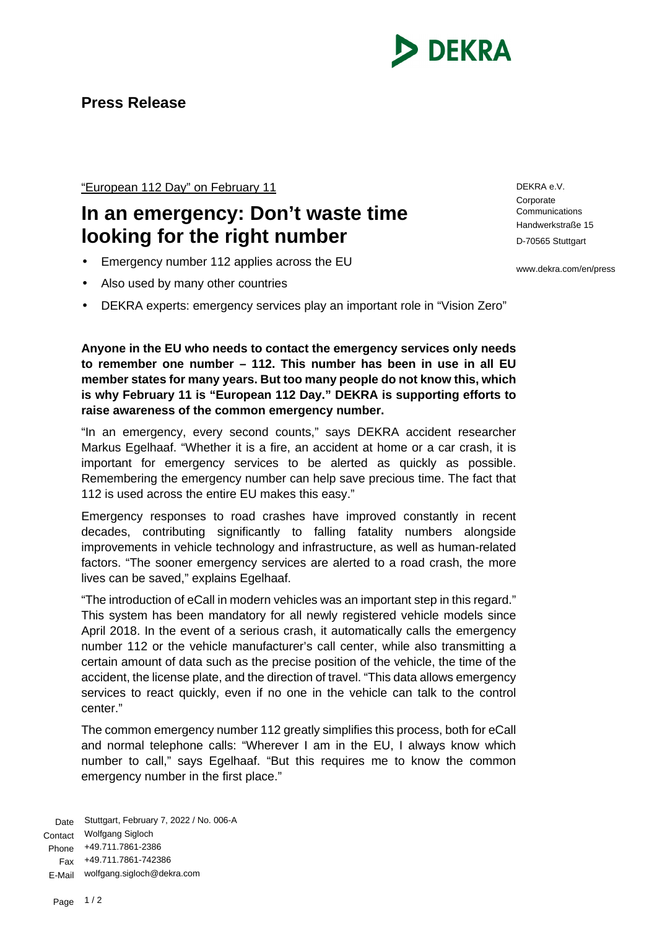

"European 112 Day" on February 11

## **In an emergency: Don't waste time looking for the right number**

- Emergency number 112 applies across the EU
- Also used by many other countries
- DEKRA experts: emergency services play an important role in "Vision Zero"

**Anyone in the EU who needs to contact the emergency services only needs to remember one number – 112. This number has been in use in all EU member states for many years. But too many people do not know this, which is why February 11 is "European 112 Day." DEKRA is supporting efforts to raise awareness of the common emergency number.**

"In an emergency, every second counts," says DEKRA accident researcher Markus Egelhaaf. "Whether it is a fire, an accident at home or a car crash, it is important for emergency services to be alerted as quickly as possible. Remembering the emergency number can help save precious time. The fact that 112 is used across the entire EU makes this easy."

Emergency responses to road crashes have improved constantly in recent decades, contributing significantly to falling fatality numbers alongside improvements in vehicle technology and infrastructure, as well as human-related factors. "The sooner emergency services are alerted to a road crash, the more lives can be saved," explains Egelhaaf.

"The introduction of eCall in modern vehicles was an important step in this regard." This system has been mandatory for all newly registered vehicle models since April 2018. In the event of a serious crash, it automatically calls the emergency number 112 or the vehicle manufacturer's call center, while also transmitting a certain amount of data such as the precise position of the vehicle, the time of the accident, the license plate, and the direction of travel. "This data allows emergency services to react quickly, even if no one in the vehicle can talk to the control center."

The common emergency number 112 greatly simplifies this process, both for eCall and normal telephone calls: "Wherever I am in the EU, I always know which number to call," says Egelhaaf. "But this requires me to know the common emergency number in the first place."

Date Stuttgart, February 7, 2022 / No. 006-A Contact Wolfgang Sigloch Phone +49.711.7861-2386 Fax +49.711.7861-742386 E-Mail wolfgang.sigloch@dekra.com

DEKRA e.V. **Corporate Communications** Handwerkstraße 15 D-70565 Stuttgart

www.dekra.com/en/press